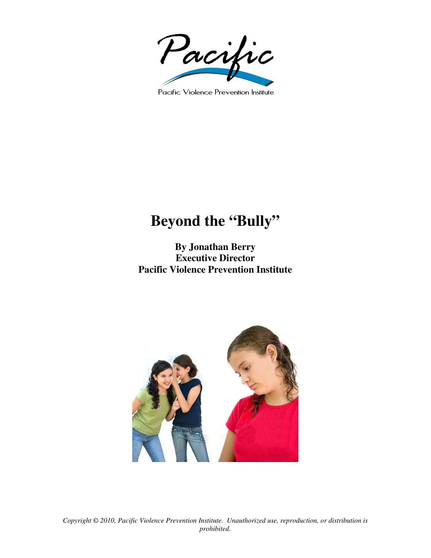

Pacific Violence Prevention Institute

## **Beyond the "Bully"**

**By Jonathan Berry Executive Director Pacific Violence Prevention Institute** 

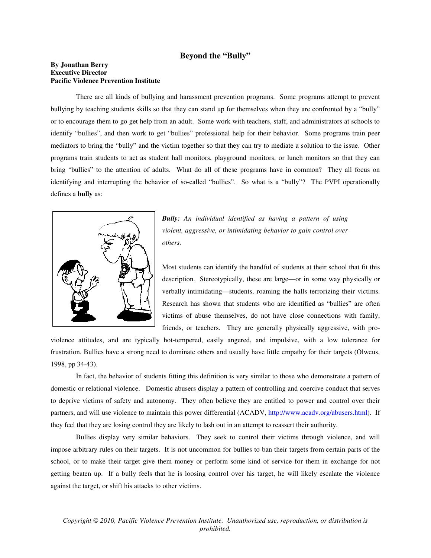## **Beyond the "Bully"**

## **By Jonathan Berry Executive Director Pacific Violence Prevention Institute**

There are all kinds of bullying and harassment prevention programs. Some programs attempt to prevent bullying by teaching students skills so that they can stand up for themselves when they are confronted by a "bully" or to encourage them to go get help from an adult. Some work with teachers, staff, and administrators at schools to identify "bullies", and then work to get "bullies" professional help for their behavior. Some programs train peer mediators to bring the "bully" and the victim together so that they can try to mediate a solution to the issue. Other programs train students to act as student hall monitors, playground monitors, or lunch monitors so that they can bring "bullies" to the attention of adults. What do all of these programs have in common? They all focus on identifying and interrupting the behavior of so-called "bullies". So what is a "bully"? The PVPI operationally defines a **bully** as:



*Bully: An individual identified as having a pattern of using violent, aggressive, or intimidating behavior to gain control over others.* 

Most students can identify the handful of students at their school that fit this description. Stereotypically, these are large—or in some way physically or verbally intimidating—students, roaming the halls terrorizing their victims. Research has shown that students who are identified as "bullies" are often victims of abuse themselves, do not have close connections with family, friends, or teachers. They are generally physically aggressive, with pro-

violence attitudes, and are typically hot-tempered, easily angered, and impulsive, with a low tolerance for frustration. Bullies have a strong need to dominate others and usually have little empathy for their targets (Olweus, 1998, pp 34-43).

In fact, the behavior of students fitting this definition is very similar to those who demonstrate a pattern of domestic or relational violence. Domestic abusers display a pattern of controlling and coercive conduct that serves to deprive victims of safety and autonomy. They often believe they are entitled to power and control over their partners, and will use violence to maintain this power differential (ACADV, http://www.acadv.org/abusers.html). If they feel that they are losing control they are likely to lash out in an attempt to reassert their authority.

Bullies display very similar behaviors. They seek to control their victims through violence, and will impose arbitrary rules on their targets. It is not uncommon for bullies to ban their targets from certain parts of the school, or to make their target give them money or perform some kind of service for them in exchange for not getting beaten up. If a bully feels that he is loosing control over his target, he will likely escalate the violence against the target, or shift his attacks to other victims.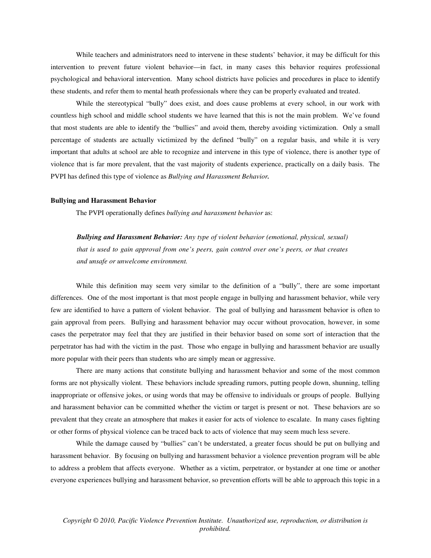While teachers and administrators need to intervene in these students' behavior, it may be difficult for this intervention to prevent future violent behavior—in fact, in many cases this behavior requires professional psychological and behavioral intervention. Many school districts have policies and procedures in place to identify these students, and refer them to mental heath professionals where they can be properly evaluated and treated.

While the stereotypical "bully" does exist, and does cause problems at every school, in our work with countless high school and middle school students we have learned that this is not the main problem. We've found that most students are able to identify the "bullies" and avoid them, thereby avoiding victimization. Only a small percentage of students are actually victimized by the defined "bully" on a regular basis, and while it is very important that adults at school are able to recognize and intervene in this type of violence, there is another type of violence that is far more prevalent, that the vast majority of students experience, practically on a daily basis. The PVPI has defined this type of violence as *Bullying and Harassment Behavior.* 

## **Bullying and Harassment Behavior**

The PVPI operationally defines *bullying and harassment behavior* as:

*Bullying and Harassment Behavior: Any type of violent behavior (emotional, physical, sexual) that is used to gain approval from one's peers, gain control over one's peers, or that creates and unsafe or unwelcome environment.* 

While this definition may seem very similar to the definition of a "bully", there are some important differences. One of the most important is that most people engage in bullying and harassment behavior, while very few are identified to have a pattern of violent behavior. The goal of bullying and harassment behavior is often to gain approval from peers. Bullying and harassment behavior may occur without provocation, however, in some cases the perpetrator may feel that they are justified in their behavior based on some sort of interaction that the perpetrator has had with the victim in the past. Those who engage in bullying and harassment behavior are usually more popular with their peers than students who are simply mean or aggressive.

There are many actions that constitute bullying and harassment behavior and some of the most common forms are not physically violent. These behaviors include spreading rumors, putting people down, shunning, telling inappropriate or offensive jokes, or using words that may be offensive to individuals or groups of people. Bullying and harassment behavior can be committed whether the victim or target is present or not. These behaviors are so prevalent that they create an atmosphere that makes it easier for acts of violence to escalate. In many cases fighting or other forms of physical violence can be traced back to acts of violence that may seem much less severe.

While the damage caused by "bullies" can't be understated, a greater focus should be put on bullying and harassment behavior. By focusing on bullying and harassment behavior a violence prevention program will be able to address a problem that affects everyone. Whether as a victim, perpetrator, or bystander at one time or another everyone experiences bullying and harassment behavior, so prevention efforts will be able to approach this topic in a